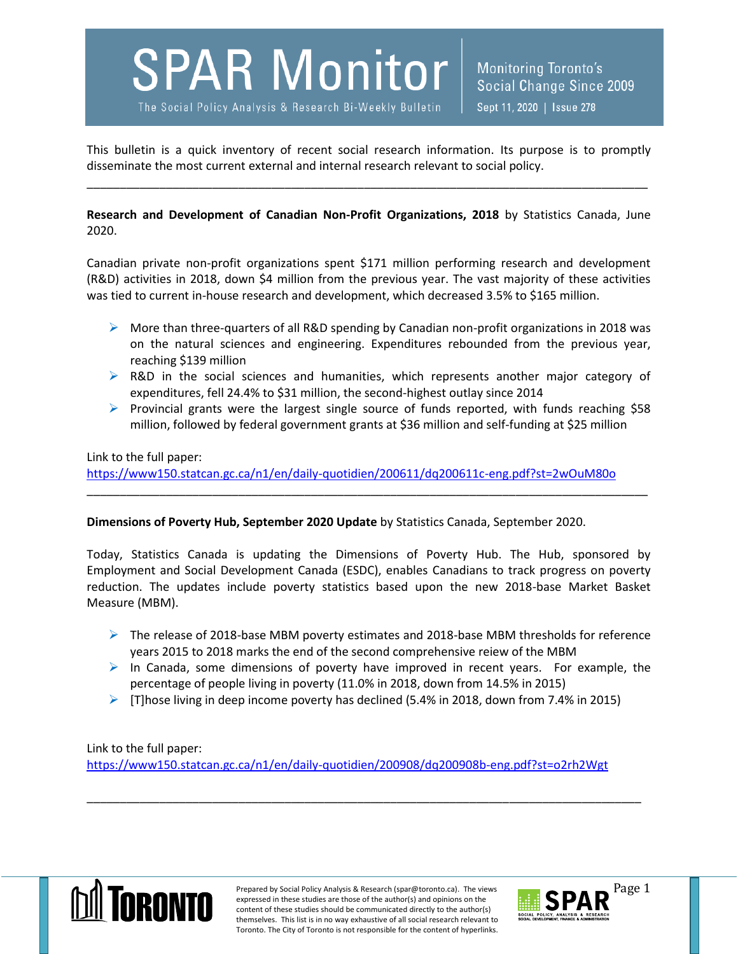**SPAR Monitor** 

The Social Policy Analysis & Research Bi-Weekly Bulletin

Monitoring Toronto's Social Change Since 2009 Sept 11, 2020 | Issue 278

This bulletin is a quick inventory of recent social research information. Its purpose is to promptly disseminate the most current external and internal research relevant to social policy.

\_\_\_\_\_\_\_\_\_\_\_\_\_\_\_\_\_\_\_\_\_\_\_\_\_\_\_\_\_\_\_\_\_\_\_\_\_\_\_\_\_\_\_\_\_\_\_\_\_\_\_\_\_\_\_\_\_\_\_\_\_\_\_\_\_\_\_\_\_\_\_\_\_\_\_\_\_\_\_\_\_\_\_\_\_

**Research and Development of Canadian Non-Profit Organizations, 2018** by Statistics Canada, June 2020.

Canadian private non-profit organizations spent \$171 million performing research and development (R&D) activities in 2018, down \$4 million from the previous year. The vast majority of these activities was tied to current in-house research and development, which decreased 3.5% to \$165 million.

- $\triangleright$  More than three-quarters of all R&D spending by Canadian non-profit organizations in 2018 was on the natural sciences and engineering. Expenditures rebounded from the previous year, reaching \$139 million
- $\triangleright$  R&D in the social sciences and humanities, which represents another major category of expenditures, fell 24.4% to \$31 million, the second-highest outlay since 2014
- $\triangleright$  Provincial grants were the largest single source of funds reported, with funds reaching \$58 million, followed by federal government grants at \$36 million and self-funding at \$25 million

## Link to the full paper: <https://www150.statcan.gc.ca/n1/en/daily-quotidien/200611/dq200611c-eng.pdf?st=2wOuM80o>

\_\_\_\_\_\_\_\_\_\_\_\_\_\_\_\_\_\_\_\_\_\_\_\_\_\_\_\_\_\_\_\_\_\_\_\_\_\_\_\_\_\_\_\_\_\_\_\_\_\_\_\_\_\_\_\_\_\_\_\_\_\_\_\_\_\_\_\_\_\_\_\_\_\_\_\_\_\_\_\_\_\_\_\_\_

## **Dimensions of Poverty Hub, September 2020 Update** by Statistics Canada, September 2020.

Today, Statistics Canada is updating the Dimensions of Poverty Hub. The Hub, sponsored by Employment and Social Development Canada (ESDC), enables Canadians to track progress on poverty reduction. The updates include poverty statistics based upon the new 2018-base Market Basket Measure (MBM).

- $\triangleright$  The release of 2018-base MBM poverty estimates and 2018-base MBM thresholds for reference years 2015 to 2018 marks the end of the second comprehensive reiew of the MBM
- $\triangleright$  In Canada, some dimensions of poverty have improved in recent years. For example, the percentage of people living in poverty (11.0% in 2018, down from 14.5% in 2015)
- $\triangleright$  [T]hose living in deep income poverty has declined (5.4% in 2018, down from 7.4% in 2015)

\_\_\_\_\_\_\_\_\_\_\_\_\_\_\_\_\_\_\_\_\_\_\_\_\_\_\_\_\_\_\_\_\_\_\_\_\_\_\_\_\_\_\_\_\_\_\_\_\_\_\_\_\_\_\_\_\_\_\_\_\_\_\_\_\_\_\_\_\_\_\_\_\_\_\_\_\_\_\_\_\_\_\_\_

Link to the full paper: <https://www150.statcan.gc.ca/n1/en/daily-quotidien/200908/dq200908b-eng.pdf?st=o2rh2Wgt>



Prepared by Social Policy Analysis & Research (spar@toronto.ca). The views Page 1 expressed in these studies are those of the author(s) and opinions on the content of these studies should be communicated directly to the author(s) themselves. This list is in no way exhaustive of all social research relevant to Toronto. The City of Toronto is not responsible for the content of hyperlinks.

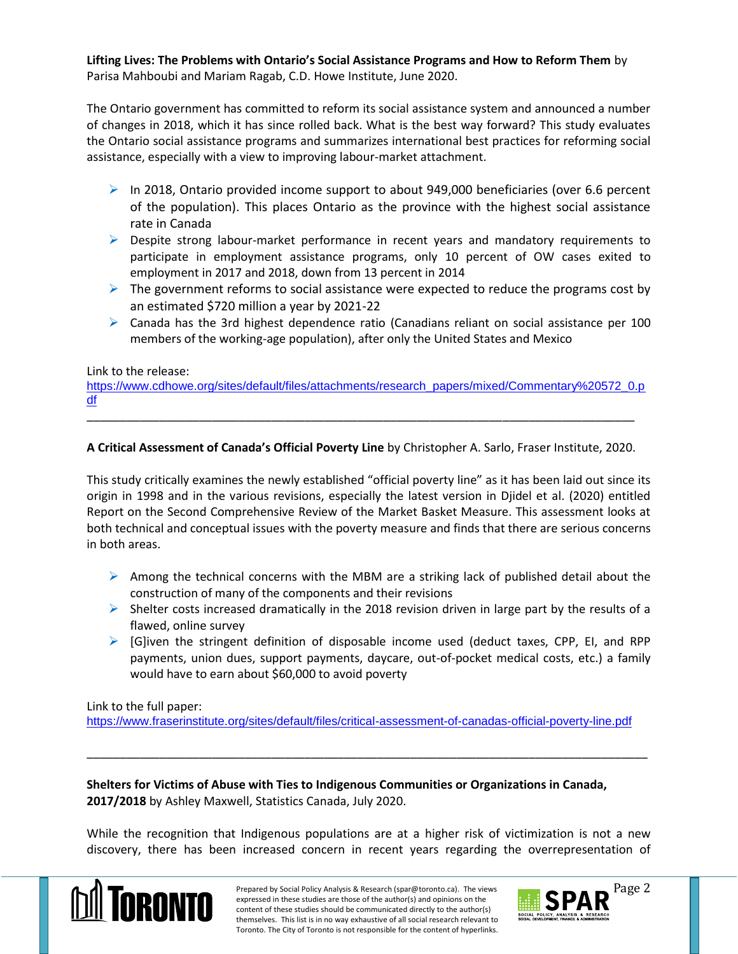**Lifting Lives: The Problems with Ontario's Social Assistance Programs and How to Reform Them** by Parisa Mahboubi and Mariam Ragab, C.D. Howe Institute, June 2020.

The Ontario government has committed to reform its social assistance system and announced a number of changes in 2018, which it has since rolled back. What is the best way forward? This study evaluates the Ontario social assistance programs and summarizes international best practices for reforming social assistance, especially with a view to improving labour-market attachment.

- $\triangleright$  In 2018, Ontario provided income support to about 949,000 beneficiaries (over 6.6 percent of the population). This places Ontario as the province with the highest social assistance rate in Canada
- $\triangleright$  Despite strong labour-market performance in recent years and mandatory requirements to participate in employment assistance programs, only 10 percent of OW cases exited to employment in 2017 and 2018, down from 13 percent in 2014
- $\triangleright$  The government reforms to social assistance were expected to reduce the programs cost by an estimated \$720 million a year by 2021-22
- $\triangleright$  Canada has the 3rd highest dependence ratio (Canadians reliant on social assistance per 100 members of the working-age population), after only the United States and Mexico

## Link to the release:

[https://www.cdhowe.org/sites/default/files/attachments/research\\_papers/mixed/Commentary%20572\\_0.p](https://www.cdhowe.org/sites/default/files/attachments/research_papers/mixed/Commentary%20572_0.pdf) [df](https://www.cdhowe.org/sites/default/files/attachments/research_papers/mixed/Commentary%20572_0.pdf)

## **A Critical Assessment of Canada's Official Poverty Line** by Christopher A. Sarlo, Fraser Institute, 2020.

\_\_\_\_\_\_\_\_\_\_\_\_\_\_\_\_\_\_\_\_\_\_\_\_\_\_\_\_\_\_\_\_\_\_\_\_\_\_\_\_\_\_\_\_\_\_\_\_\_\_\_\_\_\_\_\_\_\_\_\_\_\_\_\_\_\_\_\_\_\_\_\_\_\_\_\_\_\_\_\_\_\_\_

This study critically examines the newly established "official poverty line" as it has been laid out since its origin in 1998 and in the various revisions, especially the latest version in Djidel et al. (2020) entitled Report on the Second Comprehensive Review of the Market Basket Measure. This assessment looks at both technical and conceptual issues with the poverty measure and finds that there are serious concerns in both areas.

- $\triangleright$  Among the technical concerns with the MBM are a striking lack of published detail about the construction of many of the components and their revisions
- $\triangleright$  Shelter costs increased dramatically in the 2018 revision driven in large part by the results of a flawed, online survey
- $\triangleright$  [G]iven the stringent definition of disposable income used (deduct taxes, CPP, EI, and RPP payments, union dues, support payments, daycare, out-of-pocket medical costs, etc.) a family would have to earn about \$60,000 to avoid poverty

Link to the full paper:

<https://www.fraserinstitute.org/sites/default/files/critical-assessment-of-canadas-official-poverty-line.pdf>

\_\_\_\_\_\_\_\_\_\_\_\_\_\_\_\_\_\_\_\_\_\_\_\_\_\_\_\_\_\_\_\_\_\_\_\_\_\_\_\_\_\_\_\_\_\_\_\_\_\_\_\_\_\_\_\_\_\_\_\_\_\_\_\_\_\_\_\_\_\_\_\_\_\_\_\_\_\_\_\_\_\_\_\_\_

**Shelters for Victims of Abuse with Ties to Indigenous Communities or Organizations in Canada, 2017/2018** by Ashley Maxwell, Statistics Canada, July 2020.

While the recognition that Indigenous populations are at a higher risk of victimization is not a new discovery, there has been increased concern in recent years regarding the overrepresentation of